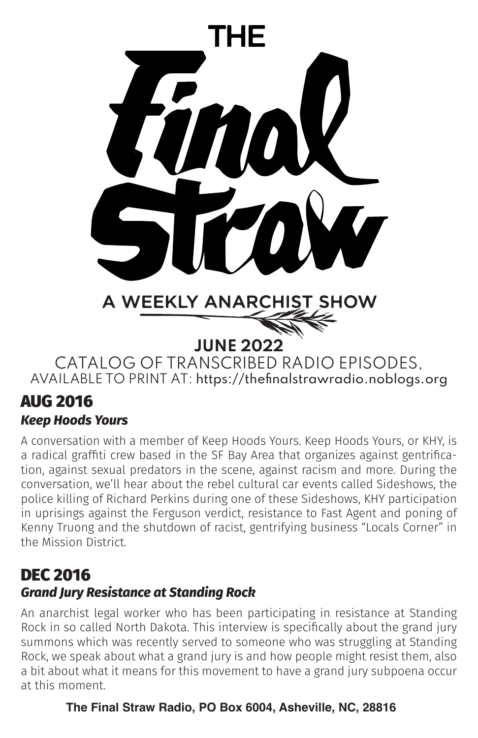

# AUG 2016

## *Keep Hoods Yours*

A conversation with a member of Keep Hoods Yours. Keep Hoods Yours, or KHY, is a radical graffiti crew based in the SF Bay Area that organizes against gentrification, against sexual predators in the scene, against racism and more. During the conversation, we'll hear about the rebel cultural car events called Sideshows, the police killing of Richard Perkins during one of these Sideshows, KHY participation in uprisings against the Ferguson verdict, resistance to Fast Agent and poning of Kenny Truong and the shutdown of racist, gentrifying business "Locals Corner" in the Mission District.

# DEC 2016 *Grand Jury Resistance at Standing Rock*

An anarchist legal worker who has been participating in resistance at Standing Rock in so called North Dakota. This interview is specifically about the grand jury summons which was recently served to someone who was struggling at Standing Rock, we speak about what a grand jury is and how people might resist them, also a bit about what it means for this movement to have a grand jury subpoena occur at this moment.

## **The Final Straw Radio, PO Box 6004, Asheville, NC, 28816**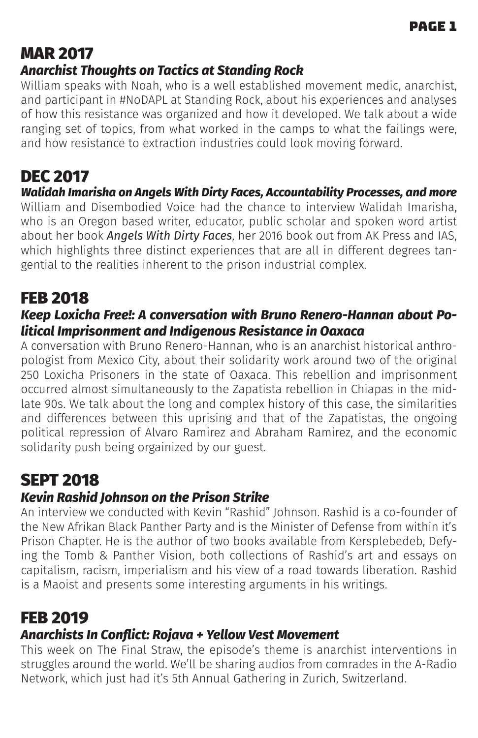# MAR 2017 *Anarchist Thoughts on Tactics at Standing Rock*

William speaks with Noah, who is a well established movement medic, anarchist, and participant in #NoDAPL at Standing Rock, about his experiences and analyses of how this resistance was organized and how it developed. We talk about a wide ranging set of topics, from what worked in the camps to what the failings were, and how resistance to extraction industries could look moving forward.

# DEC 2017

*Walidah Imarisha on Angels With Dirty Faces, Accountability Processes, and more* William and Disembodied Voice had the chance to interview Walidah Imarisha, who is an Oregon based writer, educator, public scholar and spoken word artist about her book *Angels With Dirty Faces*, her 2016 book out from AK Press and IAS, which highlights three distinct experiences that are all in different degrees tangential to the realities inherent to the prison industrial complex.

# FEB 2018

## *Keep Loxicha Free!: A conversation with Bruno Renero-Hannan about Political Imprisonment and Indigenous Resistance in Oaxaca*

A conversation with Bruno Renero-Hannan, who is an anarchist historical anthropologist from Mexico City, about their solidarity work around two of the original 250 Loxicha Prisoners in the state of Oaxaca. This rebellion and imprisonment occurred almost simultaneously to the Zapatista rebellion in Chiapas in the midlate 90s. We talk about the long and complex history of this case, the similarities and differences between this uprising and that of the Zapatistas, the ongoing political repression of Alvaro Ramirez and Abraham Ramirez, and the economic solidarity push being orgainized by our guest.

# SEPT 2018

# *Kevin Rashid Johnson on the Prison Strike*

An interview we conducted with Kevin "Rashid" Johnson. Rashid is a co-founder of the New Afrikan Black Panther Party and is the Minister of Defense from within it's Prison Chapter. He is the author of two books available from Kersplebedeb, Defying the Tomb & Panther Vision, both collections of Rashid's art and essays on capitalism, racism, imperialism and his view of a road towards liberation. Rashid is a Maoist and presents some interesting arguments in his writings.

# FEB 2019

#### *Anarchists In Conflict: Rojava + Yellow Vest Movement*

This week on The Final Straw, the episode's theme is anarchist interventions in struggles around the world. We'll be sharing audios from comrades in the A-Radio Network, which just had it's 5th Annual Gathering in Zurich, Switzerland.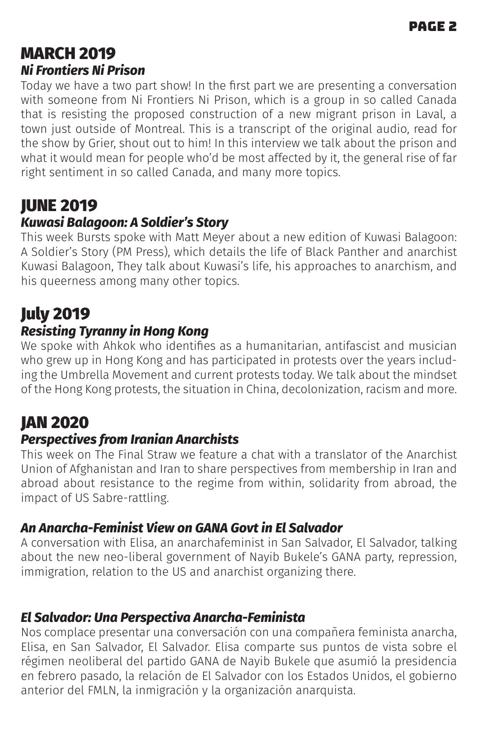# MARCH 2019 *Ni Frontiers Ni Prison*

Today we have a two part show! In the first part we are presenting a conversation with someone from Ni Frontiers Ni Prison, which is a group in so called Canada that is resisting the proposed construction of a new migrant prison in Laval, a town just outside of Montreal. This is a transcript of the original audio, read for the show by Grier, shout out to him! In this interview we talk about the prison and what it would mean for people who'd be most affected by it, the general rise of far right sentiment in so called Canada, and many more topics.

# JUNE 2019

## *Kuwasi Balagoon: A Soldier's Story*

This week Bursts spoke with Matt Meyer about a new edition of Kuwasi Balagoon: A Soldier's Story (PM Press), which details the life of Black Panther and anarchist Kuwasi Balagoon, They talk about Kuwasi's life, his approaches to anarchism, and his queerness among many other topics.

# July 2019

## *Resisting Tyranny in Hong Kong*

We spoke with Ahkok who identifies as a humanitarian, antifascist and musician who grew up in Hong Kong and has participated in protests over the years including the Umbrella Movement and current protests today. We talk about the mindset of the Hong Kong protests, the situation in China, decolonization, racism and more.

# JAN 2020

#### *Perspectives from Iranian Anarchists*

This week on The Final Straw we feature a chat with a translator of the Anarchist Union of Afghanistan and Iran to share perspectives from membership in Iran and abroad about resistance to the regime from within, solidarity from abroad, the impact of US Sabre-rattling.

#### *An Anarcha-Feminist View on GANA Govt in El Salvador*

A conversation with Elisa, an anarchafeminist in San Salvador, El Salvador, talking about the new neo-liberal government of Nayib Bukele's GANA party, repression, immigration, relation to the US and anarchist organizing there.

#### *El Salvador: Una Perspectiva Anarcha-Feminista*

Nos complace presentar una conversación con una compañera feminista anarcha, Elisa, en San Salvador, El Salvador. Elisa comparte sus puntos de vista sobre el régimen neoliberal del partido GANA de Nayib Bukele que asumió la presidencia en febrero pasado, la relación de El Salvador con los Estados Unidos, el gobierno anterior del FMLN, la inmigración y la organización anarquista.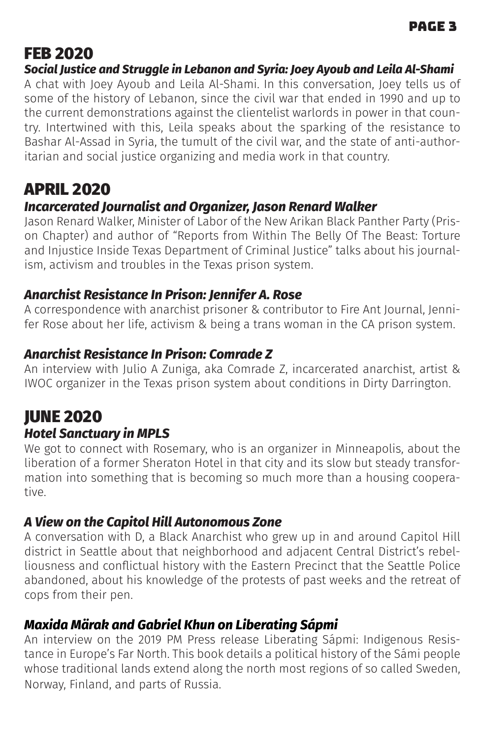# FEB 2020

*Social Justice and Struggle in Lebanon and Syria: Joey Ayoub and Leila Al-Shami*

A chat with Joey Ayoub and Leila Al-Shami. In this conversation, Joey tells us of some of the history of Lebanon, since the civil war that ended in 1990 and up to the current demonstrations against the clientelist warlords in power in that country. Intertwined with this, Leila speaks about the sparking of the resistance to Bashar Al-Assad in Syria, the tumult of the civil war, and the state of anti-authoritarian and social justice organizing and media work in that country.

# APRIL 2020

#### *Incarcerated Journalist and Organizer, Jason Renard Walker*

Jason Renard Walker, Minister of Labor of the New Arikan Black Panther Party (Prison Chapter) and author of "Reports from Within The Belly Of The Beast: Torture and Injustice Inside Texas Department of Criminal Justice" talks about his journalism, activism and troubles in the Texas prison system.

#### *Anarchist Resistance In Prison: Jennifer A. Rose*

A correspondence with anarchist prisoner & contributor to Fire Ant Journal, Jennifer Rose about her life, activism & being a trans woman in the CA prison system.

## *Anarchist Resistance In Prison: Comrade Z*

An interview with Julio A Zuniga, aka Comrade Z, incarcerated anarchist, artist & IWOC organizer in the Texas prison system about conditions in Dirty Darrington.

# JUNE 2020 *Hotel Sanctuary in MPLS*

We got to connect with Rosemary, who is an organizer in Minneapolis, about the liberation of a former Sheraton Hotel in that city and its slow but steady transformation into something that is becoming so much more than a housing cooperative.

#### *A View on the Capitol Hill Autonomous Zone*

A conversation with D, a Black Anarchist who grew up in and around Capitol Hill district in Seattle about that neighborhood and adjacent Central District's rebelliousness and conflictual history with the Eastern Precinct that the Seattle Police abandoned, about his knowledge of the protests of past weeks and the retreat of cops from their pen.

#### *Maxida Märak and Gabriel Khun on Liberating Sápmi*

An interview on the 2019 PM Press release Liberating Sápmi: Indigenous Resistance in Europe's Far North. This book details a political history of the Sámi people whose traditional lands extend along the north most regions of so called Sweden, Norway, Finland, and parts of Russia.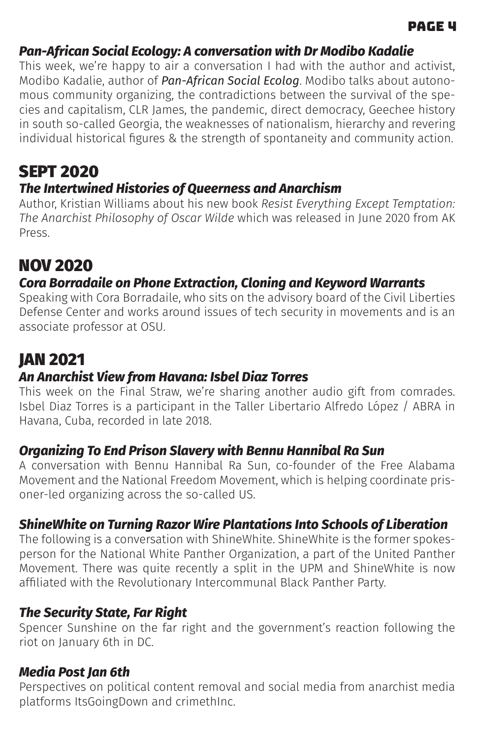#### *Pan-African Social Ecology: A conversation with Dr Modibo Kadalie*

This week, we're happy to air a conversation I had with the author and activist, Modibo Kadalie, author of *Pan-African Social Ecolog*. Modibo talks about autonomous community organizing, the contradictions between the survival of the species and capitalism, CLR James, the pandemic, direct democracy, Geechee history in south so-called Georgia, the weaknesses of nationalism, hierarchy and revering individual historical figures & the strength of spontaneity and community action.

# SEPT 2020

## *The Intertwined Histories of Queerness and Anarchism*

Author, Kristian Williams about his new book *Resist Everything Except Temptation: The Anarchist Philosophy of Oscar Wilde* which was released in June 2020 from AK Press.

# NOV 2020

#### *Cora Borradaile on Phone Extraction, Cloning and Keyword Warrants*

Speaking with Cora Borradaile, who sits on the advisory board of the Civil Liberties Defense Center and works around issues of tech security in movements and is an associate professor at OSU.

# JAN 2021

## *An Anarchist View from Havana: Isbel Diaz Torres*

This week on the Final Straw, we're sharing another audio gift from comrades. Isbel Diaz Torres is a participant in the Taller Libertario Alfredo López / ABRA in Havana, Cuba, recorded in late 2018.

#### *Organizing To End Prison Slavery with Bennu Hannibal Ra Sun*

A conversation with Bennu Hannibal Ra Sun, co-founder of the Free Alabama Movement and the National Freedom Movement, which is helping coordinate prisoner-led organizing across the so-called US.

#### *ShineWhite on Turning Razor Wire Plantations Into Schools of Liberation*

The following is a conversation with ShineWhite. ShineWhite is the former spokesperson for the National White Panther Organization, a part of the United Panther Movement. There was quite recently a split in the UPM and ShineWhite is now affiliated with the Revolutionary Intercommunal Black Panther Party.

#### *The Security State, Far Right*

Spencer Sunshine on the far right and the government's reaction following the riot on January 6th in DC.

#### *Media Post Jan 6th*

Perspectives on political content removal and social media from anarchist media platforms ItsGoingDown and crimethInc.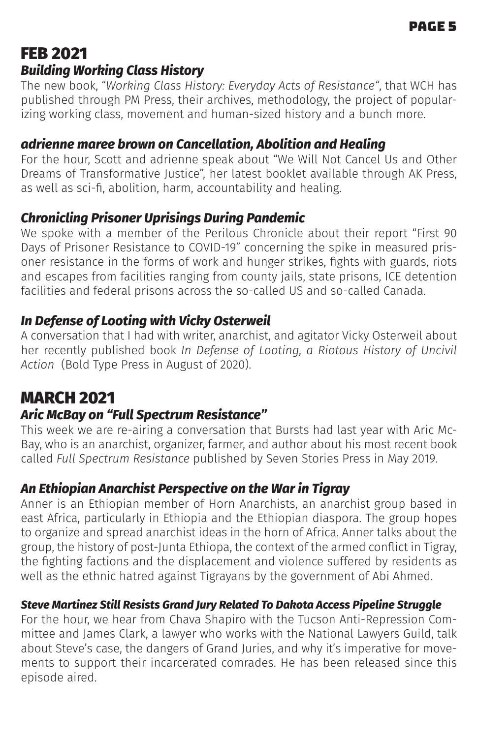# FEB 2021 *Building Working Class History*

The new book, "*Working Class History: Everyday Acts of Resistance"*, that WCH has published through PM Press, their archives, methodology, the project of popularizing working class, movement and human-sized history and a bunch more.

#### *adrienne maree brown on Cancellation, Abolition and Healing*

For the hour, Scott and adrienne speak about "We Will Not Cancel Us and Other Dreams of Transformative Justice", her latest booklet available through AK Press, as well as sci-fi, abolition, harm, accountability and healing.

#### *Chronicling Prisoner Uprisings During Pandemic*

We spoke with a member of the Perilous Chronicle about their report "First 90 Days of Prisoner Resistance to COVID-19" concerning the spike in measured prisoner resistance in the forms of work and hunger strikes, fights with guards, riots and escapes from facilities ranging from county jails, state prisons, ICE detention facilities and federal prisons across the so-called US and so-called Canada.

#### *In Defense of Looting with Vicky Osterweil*

A conversation that I had with writer, anarchist, and agitator Vicky Osterweil about her recently published book *In Defense of Looting, a Riotous History of Uncivil Action* (Bold Type Press in August of 2020).

# MARCH 2021

#### *Aric McBay on "Full Spectrum Resistance"*

This week we are re-airing a conversation that Bursts had last year with Aric Mc-Bay, who is an anarchist, organizer, farmer, and author about his most recent book called *Full Spectrum Resistance* published by Seven Stories Press in May 2019.

#### *An Ethiopian Anarchist Perspective on the War in Tigray*

Anner is an Ethiopian member of Horn Anarchists, an anarchist group based in east Africa, particularly in Ethiopia and the Ethiopian diaspora. The group hopes to organize and spread anarchist ideas in the horn of Africa. Anner talks about the group, the history of post-Junta Ethiopa, the context of the armed conflict in Tigray, the fighting factions and the displacement and violence suffered by residents as well as the ethnic hatred against Tigrayans by the government of Abi Ahmed.

#### *Steve Martinez Still Resists Grand Jury Related To Dakota Access Pipeline Struggle*

For the hour, we hear from Chava Shapiro with the Tucson Anti-Repression Committee and James Clark, a lawyer who works with the National Lawyers Guild, talk about Steve's case, the dangers of Grand Juries, and why it's imperative for movements to support their incarcerated comrades. He has been released since this episode aired.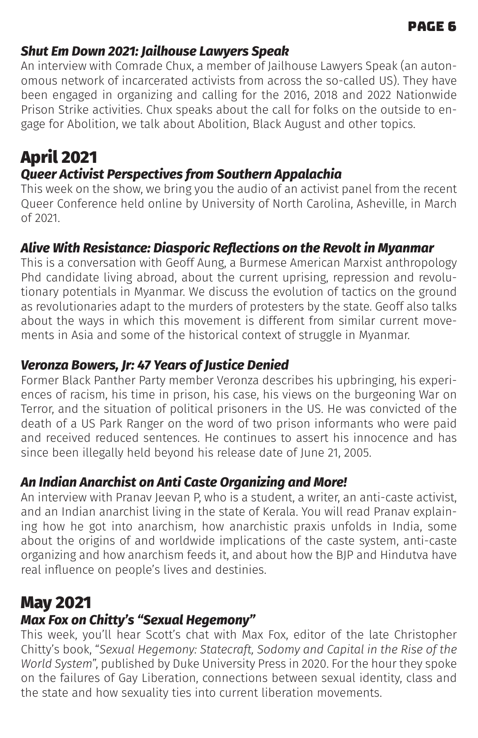#### *Shut Em Down 2021: Jailhouse Lawyers Speak*

An interview with Comrade Chux, a member of Jailhouse Lawyers Speak (an autonomous network of incarcerated activists from across the so-called US). They have been engaged in organizing and calling for the 2016, 2018 and 2022 Nationwide Prison Strike activities. Chux speaks about the call for folks on the outside to engage for Abolition, we talk about Abolition, Black August and other topics.

# April 2021

## *Queer Activist Perspectives from Southern Appalachia*

This week on the show, we bring you the audio of an activist panel from the recent Queer Conference held online by University of North Carolina, Asheville, in March of 2021.

#### *Alive With Resistance: Diasporic Reflections on the Revolt in Myanmar*

This is a conversation with Geoff Aung, a Burmese American Marxist anthropology Phd candidate living abroad, about the current uprising, repression and revolutionary potentials in Myanmar. We discuss the evolution of tactics on the ground as revolutionaries adapt to the murders of protesters by the state. Geoff also talks about the ways in which this movement is different from similar current movements in Asia and some of the historical context of struggle in Myanmar.

#### *Veronza Bowers, Jr: 47 Years of Justice Denied*

Former Black Panther Party member Veronza describes his upbringing, his experiences of racism, his time in prison, his case, his views on the burgeoning War on Terror, and the situation of political prisoners in the US. He was convicted of the death of a US Park Ranger on the word of two prison informants who were paid and received reduced sentences. He continues to assert his innocence and has since been illegally held beyond his release date of June 21, 2005.

#### *An Indian Anarchist on Anti Caste Organizing and More!*

An interview with Pranav Jeevan P, who is a student, a writer, an anti-caste activist, and an Indian anarchist living in the state of Kerala. You will read Pranav explaining how he got into anarchism, how anarchistic praxis unfolds in India, some about the origins of and worldwide implications of the caste system, anti-caste organizing and how anarchism feeds it, and about how the BJP and Hindutva have real influence on people's lives and destinies.

# May 2021

# *Max Fox on Chitty's "Sexual Hegemony"*

This week, you'll hear Scott's chat with Max Fox, editor of the late Christopher Chitty's book, "*Sexual Hegemony: Statecraft, Sodomy and Capital in the Rise of the World System*", published by Duke University Press in 2020. For the hour they spoke on the failures of Gay Liberation, connections between sexual identity, class and the state and how sexuality ties into current liberation movements.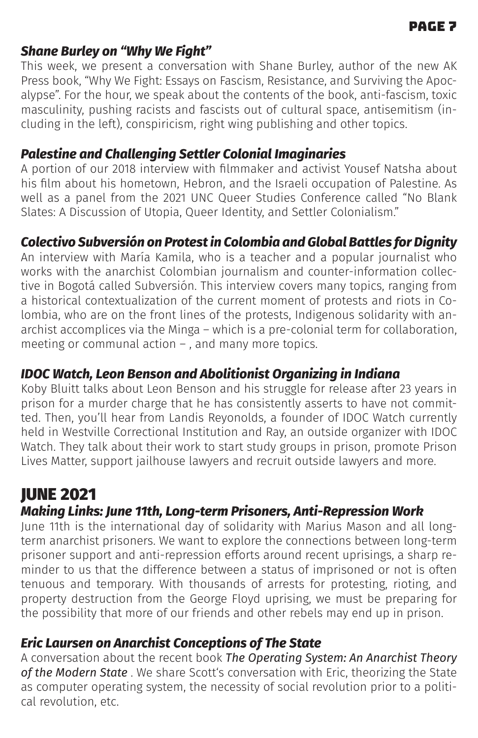#### *Shane Burley on "Why We Fight"*

This week, we present a conversation with Shane Burley, author of the new AK Press book, "Why We Fight: Essays on Fascism, Resistance, and Surviving the Apocalypse". For the hour, we speak about the contents of the book, anti-fascism, toxic masculinity, pushing racists and fascists out of cultural space, antisemitism (including in the left), conspiricism, right wing publishing and other topics.

#### *Palestine and Challenging Settler Colonial Imaginaries*

A portion of our 2018 interview with filmmaker and activist Yousef Natsha about his film about his hometown, Hebron, and the Israeli occupation of Palestine. As well as a panel from the 2021 UNC Oueer Studies Conference called "No Blank Slates: A Discussion of Utopia, Queer Identity, and Settler Colonialism."

#### *Colectivo Subversión on Protest in Colombia and Global Battles for Dignity*

An interview with María Kamila, who is a teacher and a popular journalist who works with the anarchist Colombian journalism and counter-information collective in Bogotá called Subversión. This interview covers many topics, ranging from a historical contextualization of the current moment of protests and riots in Colombia, who are on the front lines of the protests, Indigenous solidarity with anarchist accomplices via the Minga – which is a pre-colonial term for collaboration, meeting or communal action – , and many more topics.

## *IDOC Watch, Leon Benson and Abolitionist Organizing in Indiana*

Koby Bluitt talks about Leon Benson and his struggle for release after 23 years in prison for a murder charge that he has consistently asserts to have not committed. Then, you'll hear from Landis Reyonolds, a founder of IDOC Watch currently held in Westville Correctional Institution and Ray, an outside organizer with IDOC Watch. They talk about their work to start study groups in prison, promote Prison Lives Matter, support jailhouse lawyers and recruit outside lawyers and more.

# JUNE 2021

#### *Making Links: June 11th, Long-term Prisoners, Anti-Repression Work*

June 11th is the international day of solidarity with Marius Mason and all longterm anarchist prisoners. We want to explore the connections between long-term prisoner support and anti-repression efforts around recent uprisings, a sharp reminder to us that the difference between a status of imprisoned or not is often tenuous and temporary. With thousands of arrests for protesting, rioting, and property destruction from the George Floyd uprising, we must be preparing for the possibility that more of our friends and other rebels may end up in prison.

#### *Eric Laursen on Anarchist Conceptions of The State*

A conversation about the recent book *The Operating System: An Anarchist Theory*  of the Modern State . We share Scott's conversation with Eric, theorizing the State as computer operating system, the necessity of social revolution prior to a political revolution, etc.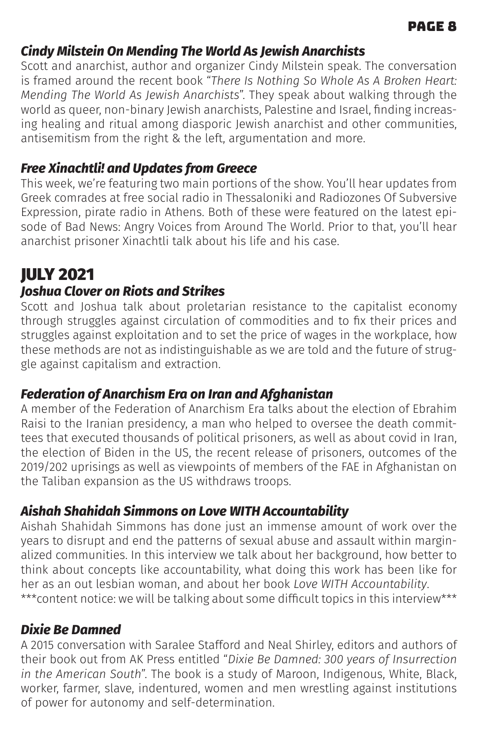## *Cindy Milstein On Mending The World As Jewish Anarchists*

Scott and anarchist, author and organizer Cindy Milstein speak. The conversation is framed around the recent book "*There Is Nothing So Whole As A Broken Heart: Mending The World As Jewish Anarchists*". They speak about walking through the world as queer, non-binary Jewish anarchists, Palestine and Israel, finding increasing healing and ritual among diasporic Jewish anarchist and other communities, antisemitism from the right & the left, argumentation and more.

## *Free Xinachtli! and Updates from Greece*

This week, we're featuring two main portions of the show. You'll hear updates from Greek comrades at free social radio in Thessaloniki and Radiozones Of Subversive Expression, pirate radio in Athens. Both of these were featured on the latest episode of Bad News: Angry Voices from Around The World. Prior to that, you'll hear anarchist prisoner Xinachtli talk about his life and his case.

# JULY 2021

## *Joshua Clover on Riots and Strikes*

Scott and Joshua talk about proletarian resistance to the capitalist economy through struggles against circulation of commodities and to fix their prices and struggles against exploitation and to set the price of wages in the workplace, how these methods are not as indistinguishable as we are told and the future of struggle against capitalism and extraction.

## *Federation of Anarchism Era on Iran and Afghanistan*

A member of the Federation of Anarchism Era talks about the election of Ebrahim Raisi to the Iranian presidency, a man who helped to oversee the death committees that executed thousands of political prisoners, as well as about covid in Iran, the election of Biden in the US, the recent release of prisoners, outcomes of the 2019/202 uprisings as well as viewpoints of members of the FAE in Afghanistan on the Taliban expansion as the US withdraws troops.

## *Aishah Shahidah Simmons on Love WITH Accountability*

Aishah Shahidah Simmons has done just an immense amount of work over the years to disrupt and end the patterns of sexual abuse and assault within marginalized communities. In this interview we talk about her background, how better to think about concepts like accountability, what doing this work has been like for her as an out lesbian woman, and about her book *Love WITH Accountability*. \*\*\* content notice: we will be talking about some difficult topics in this interview\*\*\*

## *Dixie Be Damned*

A 2015 conversation with Saralee Stafford and Neal Shirley, editors and authors of their book out from AK Press entitled "*Dixie Be Damned: 300 years of Insurrection in the American South*". The book is a study of Maroon, Indigenous, White, Black, worker, farmer, slave, indentured, women and men wrestling against institutions of power for autonomy and self-determination.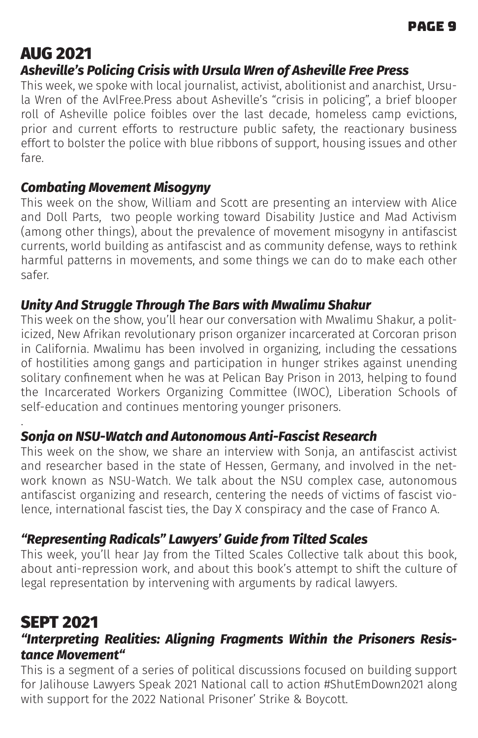# AUG 2021

## *Asheville's Policing Crisis with Ursula Wren of Asheville Free Press*

This week, we spoke with local journalist, activist, abolitionist and anarchist, Ursula Wren of the AvlFree.Press about Asheville's "crisis in policing", a brief blooper roll of Asheville police foibles over the last decade, homeless camp evictions, prior and current efforts to restructure public safety, the reactionary business effort to bolster the police with blue ribbons of support, housing issues and other fare.

## *Combating Movement Misogyny*

This week on the show, William and Scott are presenting an interview with Alice and Doll Parts, two people working toward Disability Justice and Mad Activism (among other things), about the prevalence of movement misogyny in antifascist currents, world building as antifascist and as community defense, ways to rethink harmful patterns in movements, and some things we can do to make each other safer.

#### *Unity And Struggle Through The Bars with Mwalimu Shakur*

This week on the show, you'll hear our conversation with Mwalimu Shakur, a politicized, New Afrikan revolutionary prison organizer incarcerated at Corcoran prison in California. Mwalimu has been involved in organizing, including the cessations of hostilities among gangs and participation in hunger strikes against unending solitary confinement when he was at Pelican Bay Prison in 2013, helping to found the Incarcerated Workers Organizing Committee (IWOC), Liberation Schools of self-education and continues mentoring younger prisoners.

#### *Sonja on NSU-Watch and Autonomous Anti-Fascist Research*

This week on the show, we share an interview with Sonja, an antifascist activist and researcher based in the state of Hessen, Germany, and involved in the network known as NSU-Watch. We talk about the NSU complex case, autonomous antifascist organizing and research, centering the needs of victims of fascist violence, international fascist ties, the Day X conspiracy and the case of Franco A.

# *"Representing Radicals" Lawyers' Guide from Tilted Scales*

This week, you'll hear Jay from the Tilted Scales Collective talk about this book, about anti-repression work, and about this book's attempt to shift the culture of legal representation by intervening with arguments by radical lawyers.

# SEPT 2021

.

#### *"Interpreting Realities: Aligning Fragments Within the Prisoners Resistance Movement"*

This is a segment of a series of political discussions focused on building support for Jalihouse Lawyers Speak 2021 National call to action #ShutEmDown2021 along with support for the 2022 National Prisoner' Strike & Boycott.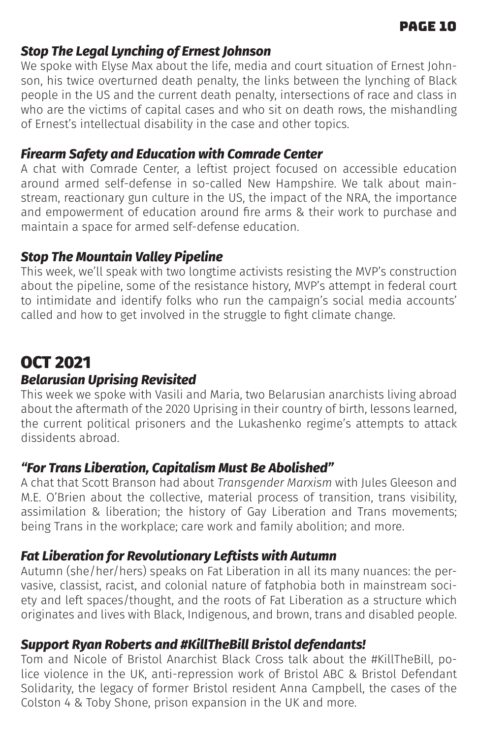#### *Stop The Legal Lynching of Ernest Johnson*

We spoke with Elyse Max about the life, media and court situation of Ernest Johnson, his twice overturned death penalty, the links between the lynching of Black people in the US and the current death penalty, intersections of race and class in who are the victims of capital cases and who sit on death rows, the mishandling of Ernest's intellectual disability in the case and other topics.

#### *Firearm Safety and Education with Comrade Center*

A chat with Comrade Center, a leftist project focused on accessible education around armed self-defense in so-called New Hampshire. We talk about mainstream, reactionary gun culture in the US, the impact of the NRA, the importance and empowerment of education around fire arms & their work to purchase and maintain a space for armed self-defense education.

## *Stop The Mountain Valley Pipeline*

This week, we'll speak with two longtime activists resisting the MVP's construction about the pipeline, some of the resistance history, MVP's attempt in federal court to intimidate and identify folks who run the campaign's social media accounts' called and how to get involved in the struggle to fight climate change.

# OCT 2021

#### *Belarusian Uprising Revisited*

This week we spoke with Vasili and Maria, two Belarusian anarchists living abroad about the aftermath of the 2020 Uprising in their country of birth, lessons learned, the current political prisoners and the Lukashenko regime's attempts to attack dissidents abroad.

#### *"For Trans Liberation, Capitalism Must Be Abolished"*

A chat that Scott Branson had about *Transgender Marxism* with Jules Gleeson and M.E. O'Brien about the collective, material process of transition, trans visibility, assimilation & liberation; the history of Gay Liberation and Trans movements; being Trans in the workplace; care work and family abolition; and more.

#### *Fat Liberation for Revolutionary Leftists with Autumn*

Autumn (she/her/hers) speaks on Fat Liberation in all its many nuances: the pervasive, classist, racist, and colonial nature of fatphobia both in mainstream society and left spaces/thought, and the roots of Fat Liberation as a structure which originates and lives with Black, Indigenous, and brown, trans and disabled people.

#### *Support Ryan Roberts and #KillTheBill Bristol defendants!*

Tom and Nicole of Bristol Anarchist Black Cross talk about the #KillTheBill, police violence in the UK, anti-repression work of Bristol ABC & Bristol Defendant Solidarity, the legacy of former Bristol resident Anna Campbell, the cases of the Colston 4 & Toby Shone, prison expansion in the UK and more.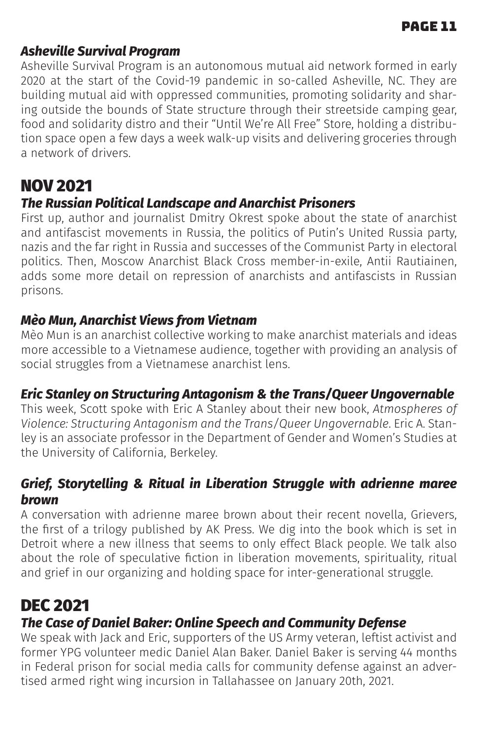#### *Asheville Survival Program*

Asheville Survival Program is an autonomous mutual aid network formed in early 2020 at the start of the Covid-19 pandemic in so-called Asheville, NC. They are building mutual aid with oppressed communities, promoting solidarity and sharing outside the bounds of State structure through their streetside camping gear, food and solidarity distro and their "Until We're All Free" Store, holding a distribution space open a few days a week walk-up visits and delivering groceries through a network of drivers.

# NOV 2021

#### *The Russian Political Landscape and Anarchist Prisoners*

First up, author and journalist Dmitry Okrest spoke about the state of anarchist and antifascist movements in Russia, the politics of Putin's United Russia party, nazis and the far right in Russia and successes of the Communist Party in electoral politics. Then, Moscow Anarchist Black Cross member-in-exile, Antii Rautiainen, adds some more detail on repression of anarchists and antifascists in Russian prisons.

#### *Mèo Mun, Anarchist Views from Vietnam*

Mèo Mun is an anarchist collective working to make anarchist materials and ideas more accessible to a Vietnamese audience, together with providing an analysis of social struggles from a Vietnamese anarchist lens.

#### *Eric Stanley on Structuring Antagonism & the Trans/Queer Ungovernable*

This week, Scott spoke with Eric A Stanley about their new book, *Atmospheres of Violence: Structuring Antagonism and the Trans/Queer Ungovernable*. Eric A. Stanley is an associate professor in the Department of Gender and Women's Studies at the University of California, Berkeley.

#### *Grief, Storytelling & Ritual in Liberation Struggle with adrienne maree brown*

A conversation with adrienne maree brown about their recent novella, Grievers, the first of a trilogy published by AK Press. We dig into the book which is set in Detroit where a new illness that seems to only effect Black people. We talk also about the role of speculative fiction in liberation movements, spirituality, ritual and grief in our organizing and holding space for inter-generational struggle.

# DEC 2021

#### *The Case of Daniel Baker: Online Speech and Community Defense*

We speak with Jack and Eric, supporters of the US Army veteran, leftist activist and former YPG volunteer medic Daniel Alan Baker. Daniel Baker is serving 44 months in Federal prison for social media calls for community defense against an advertised armed right wing incursion in Tallahassee on January 20th, 2021.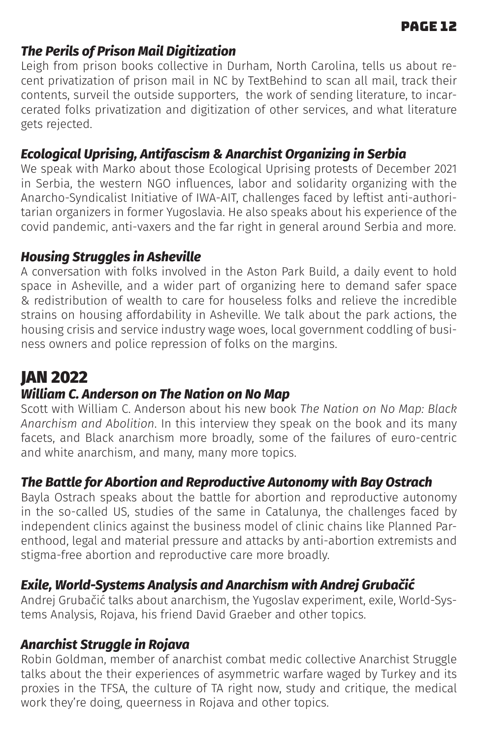#### page 12

#### *The Perils of Prison Mail Digitization*

Leigh from prison books collective in Durham, North Carolina, tells us about recent privatization of prison mail in NC by TextBehind to scan all mail, track their contents, surveil the outside supporters, the work of sending literature, to incarcerated folks privatization and digitization of other services, and what literature gets rejected.

## *Ecological Uprising, Antifascism & Anarchist Organizing in Serbia*

We speak with Marko about those Ecological Uprising protests of December 2021 in Serbia, the western NGO influences, labor and solidarity organizing with the Anarcho-Syndicalist Initiative of IWA-AIT, challenges faced by leftist anti-authoritarian organizers in former Yugoslavia. He also speaks about his experience of the covid pandemic, anti-vaxers and the far right in general around Serbia and more.

#### *Housing Struggles in Asheville*

A conversation with folks involved in the Aston Park Build, a daily event to hold space in Asheville, and a wider part of organizing here to demand safer space & redistribution of wealth to care for houseless folks and relieve the incredible strains on housing affordability in Asheville. We talk about the park actions, the housing crisis and service industry wage woes, local government coddling of business owners and police repression of folks on the margins.

# JAN 2022

#### *William C. Anderson on The Nation on No Map*

Scott with William C. Anderson about his new book *The Nation on No Map: Black Anarchism and Abolition*. In this interview they speak on the book and its many facets, and Black anarchism more broadly, some of the failures of euro-centric and white anarchism, and many, many more topics.

#### *The Battle for Abortion and Reproductive Autonomy with Bay Ostrach*

Bayla Ostrach speaks about the battle for abortion and reproductive autonomy in the so-called US, studies of the same in Catalunya, the challenges faced by independent clinics against the business model of clinic chains like Planned Parenthood, legal and material pressure and attacks by anti-abortion extremists and stigma-free abortion and reproductive care more broadly.

#### *Exile, World-Systems Analysis and Anarchism with Andrej Grubačić*

Andrej Grubačić talks about anarchism, the Yugoslav experiment, exile, World-Systems Analysis, Rojava, his friend David Graeber and other topics.

#### *Anarchist Struggle in Rojava*

Robin Goldman, member of anarchist combat medic collective Anarchist Struggle talks about the their experiences of asymmetric warfare waged by Turkey and its proxies in the TFSA, the culture of TA right now, study and critique, the medical work they're doing, queerness in Rojava and other topics.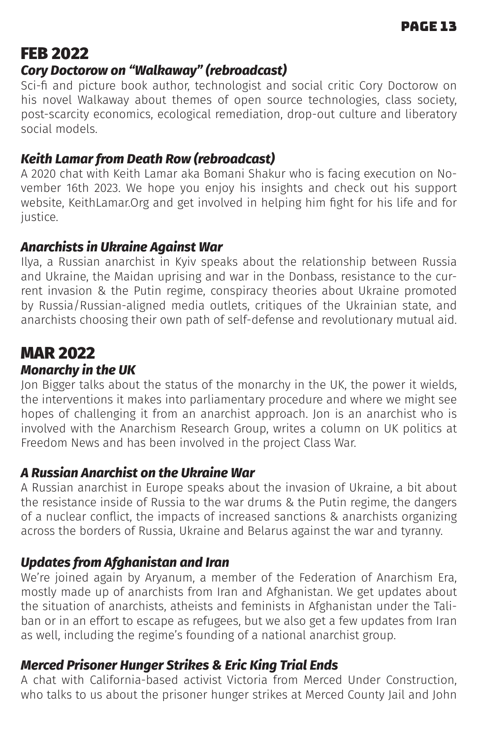# FEB 2022

## *Cory Doctorow on "Walkaway" (rebroadcast)*

Sci-fi and picture book author, technologist and social critic Cory Doctorow on his novel Walkaway about themes of open source technologies, class society, post-scarcity economics, ecological remediation, drop-out culture and liberatory social models.

## *Keith Lamar from Death Row (rebroadcast)*

A 2020 chat with Keith Lamar aka Bomani Shakur who is facing execution on November 16th 2023. We hope you enjoy his insights and check out his support website, KeithLamar.Org and get involved in helping him fight for his life and for justice.

## *Anarchists in Ukraine Against War*

Ilya, a Russian anarchist in Kyiv speaks about the relationship between Russia and Ukraine, the Maidan uprising and war in the Donbass, resistance to the current invasion & the Putin regime, conspiracy theories about Ukraine promoted by Russia/Russian-aligned media outlets, critiques of the Ukrainian state, and anarchists choosing their own path of self-defense and revolutionary mutual aid.

# MAR 2022

## *Monarchy in the UK*

Jon Bigger talks about the status of the monarchy in the UK, the power it wields, the interventions it makes into parliamentary procedure and where we might see hopes of challenging it from an anarchist approach. Jon is an anarchist who is involved with the Anarchism Research Group, writes a column on UK politics at Freedom News and has been involved in the project Class War.

## *A Russian Anarchist on the Ukraine War*

A Russian anarchist in Europe speaks about the invasion of Ukraine, a bit about the resistance inside of Russia to the war drums & the Putin regime, the dangers of a nuclear conflict, the impacts of increased sanctions & anarchists organizing across the borders of Russia, Ukraine and Belarus against the war and tyranny.

## *Updates from Afghanistan and Iran*

We're joined again by Aryanum, a member of the Federation of Anarchism Era, mostly made up of anarchists from Iran and Afghanistan. We get updates about the situation of anarchists, atheists and feminists in Afghanistan under the Taliban or in an effort to escape as refugees, but we also get a few updates from Iran as well, including the regime's founding of a national anarchist group.

## *Merced Prisoner Hunger Strikes & Eric King Trial Ends*

A chat with California-based activist Victoria from Merced Under Construction, who talks to us about the prisoner hunger strikes at Merced County Jail and John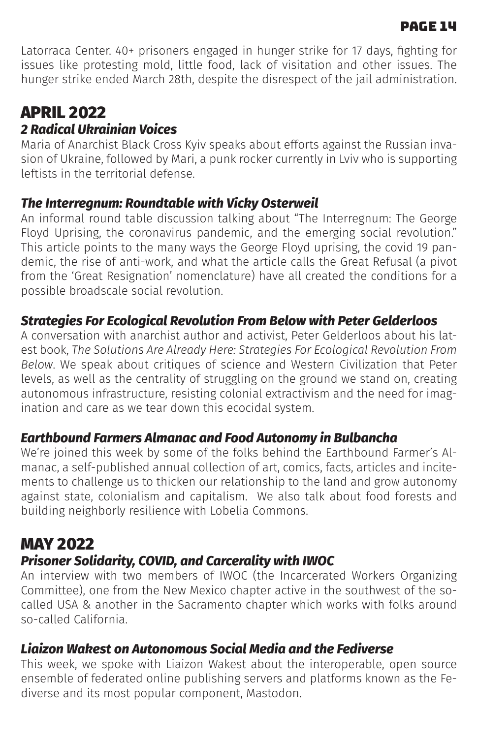#### page 14

Latorraca Center. 40+ prisoners engaged in hunger strike for 17 days, fighting for issues like protesting mold, little food, lack of visitation and other issues. The hunger strike ended March 28th, despite the disrespect of the jail administration.

# APRIL 2022 *2 Radical Ukrainian Voices*

Maria of Anarchist Black Cross Kyiv speaks about efforts against the Russian invasion of Ukraine, followed by Mari, a punk rocker currently in Lviv who is supporting leftists in the territorial defense.

#### *The Interregnum: Roundtable with Vicky Osterweil*

An informal round table discussion talking about "The Interregnum: The George Floyd Uprising, the coronavirus pandemic, and the emerging social revolution." This article points to the many ways the George Floyd uprising, the covid 19 pandemic, the rise of anti-work, and what the article calls the Great Refusal (a pivot from the 'Great Resignation' nomenclature) have all created the conditions for a possible broadscale social revolution.

## *Strategies For Ecological Revolution From Below with Peter Gelderloos*

A conversation with anarchist author and activist, Peter Gelderloos about his latest book, *The Solutions Are Already Here: Strategies For Ecological Revolution From Below*. We speak about critiques of science and Western Civilization that Peter levels, as well as the centrality of struggling on the ground we stand on, creating autonomous infrastructure, resisting colonial extractivism and the need for imagination and care as we tear down this ecocidal system.

#### *Earthbound Farmers Almanac and Food Autonomy in Bulbancha*

We're joined this week by some of the folks behind the Earthbound Farmer's Almanac, a self-published annual collection of art, comics, facts, articles and incitements to challenge us to thicken our relationship to the land and grow autonomy against state, colonialism and capitalism. We also talk about food forests and building neighborly resilience with Lobelia Commons.

# MAY 2022

## *Prisoner Solidarity, COVID, and Carcerality with IWOC*

An interview with two members of IWOC (the Incarcerated Workers Organizing Committee), one from the New Mexico chapter active in the southwest of the socalled USA & another in the Sacramento chapter which works with folks around so-called California.

## *Liaizon Wakest on Autonomous Social Media and the Fediverse*

This week, we spoke with Liaizon Wakest about the interoperable, open source ensemble of federated online publishing servers and platforms known as the Fediverse and its most popular component, Mastodon.